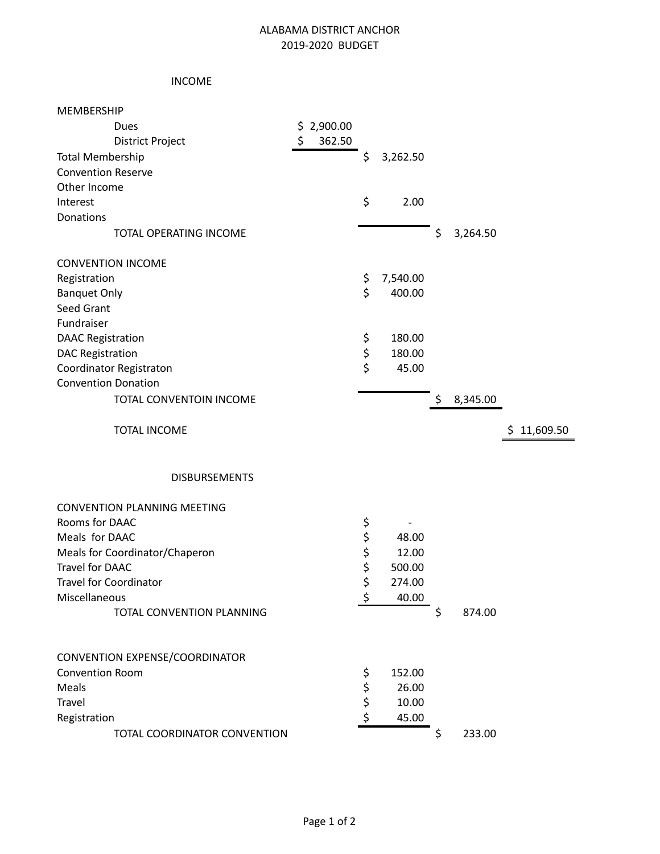## ALABAMA DISTRICT ANCHOR 2019-2020 BUDGET

## INCOME

| <b>MEMBERSHIP</b>                  |              |                |                |                 |
|------------------------------------|--------------|----------------|----------------|-----------------|
| Dues                               | \$2,900.00   |                |                |                 |
| <b>District Project</b>            | \$<br>362.50 |                |                |                 |
| <b>Total Membership</b>            |              | \$<br>3,262.50 |                |                 |
| <b>Convention Reserve</b>          |              |                |                |                 |
| Other Income                       |              |                |                |                 |
| Interest                           |              | \$<br>2.00     |                |                 |
| <b>Donations</b>                   |              |                |                |                 |
| TOTAL OPERATING INCOME             |              |                | \$<br>3,264.50 |                 |
| <b>CONVENTION INCOME</b>           |              |                |                |                 |
| Registration                       |              | \$<br>7,540.00 |                |                 |
| <b>Banquet Only</b>                |              | \$<br>400.00   |                |                 |
| Seed Grant                         |              |                |                |                 |
| Fundraiser                         |              |                |                |                 |
| <b>DAAC Registration</b>           |              | \$<br>180.00   |                |                 |
| <b>DAC Registration</b>            |              | \$<br>180.00   |                |                 |
| Coordinator Registraton            |              | \$<br>45.00    |                |                 |
| <b>Convention Donation</b>         |              |                |                |                 |
| TOTAL CONVENTOIN INCOME            |              |                | \$<br>8,345.00 |                 |
| <b>TOTAL INCOME</b>                |              |                |                | 11,609.50<br>\$ |
|                                    |              |                |                |                 |
| <b>DISBURSEMENTS</b>               |              |                |                |                 |
| <b>CONVENTION PLANNING MEETING</b> |              |                |                |                 |
| Rooms for DAAC                     |              | \$             |                |                 |
| Meals for DAAC                     |              | \$<br>48.00    |                |                 |
| Meals for Coordinator/Chaperon     |              | \$<br>12.00    |                |                 |
| Travel for DAAC                    |              | \$<br>500.00   |                |                 |
| <b>Travel for Coordinator</b>      |              | \$<br>274.00   |                |                 |
| Miscellaneous                      |              | \$<br>40.00    |                |                 |
| TOTAL CONVENTION PLANNING          |              |                | \$<br>874.00   |                 |
|                                    |              |                |                |                 |
| CONVENTION EXPENSE/COORDINATOR     |              |                |                |                 |
| Convention Room                    |              | \$<br>152.00   |                |                 |
| Meals                              |              | \$<br>26.00    |                |                 |
| Travel                             |              | \$<br>10.00    |                |                 |
| Registration                       |              | \$<br>45.00    |                |                 |
| TOTAL COORDINATOR CONVENTION       |              |                | \$<br>233.00   |                 |